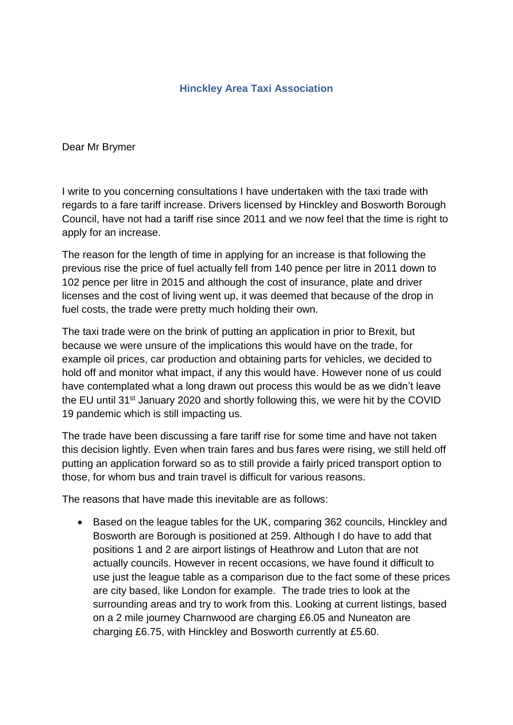# **Hinckley Area Taxi Association**

Dear Mr Brymer

I write to you concerning consultations I have undertaken with the taxi trade with regards to a fare tariff increase. Drivers licensed by Hinckley and Bosworth Borough Council, have not had a tariff rise since 2011 and we now feel that the time is right to apply for an increase.

The reason for the length of time in applying for an increase is that following the previous rise the price of fuel actually fell from 140 pence per litre in 2011 down to 102 pence per litre in 2015 and although the cost of insurance, plate and driver licenses and the cost of living went up, it was deemed that because of the drop in fuel costs, the trade were pretty much holding their own.

The taxi trade were on the brink of putting an application in prior to Brexit, but because we were unsure of the implications this would have on the trade, for example oil prices, car production and obtaining parts for vehicles, we decided to hold off and monitor what impact, if any this would have. However none of us could have contemplated what a long drawn out process this would be as we didn't leave the EU until 31<sup>st</sup> January 2020 and shortly following this, we were hit by the COVID 19 pandemic which is still impacting us.

The trade have been discussing a fare tariff rise for some time and have not taken this decision lightly. Even when train fares and bus fares were rising, we still held off putting an application forward so as to still provide a fairly priced transport option to those, for whom bus and train travel is difficult for various reasons.

The reasons that have made this inevitable are as follows:

• Based on the league tables for the UK, comparing 362 councils, Hinckley and Bosworth are Borough is positioned at 259. Although I do have to add that positions 1 and 2 are airport listings of Heathrow and Luton that are not actually councils. However in recent occasions, we have found it difficult to use just the league table as a comparison due to the fact some of these prices are city based, like London for example. The trade tries to look at the surrounding areas and try to work from this. Looking at current listings, based on a 2 mile journey Charnwood are charging £6.05 and Nuneaton are charging £6.75, with Hinckley and Bosworth currently at £5.60.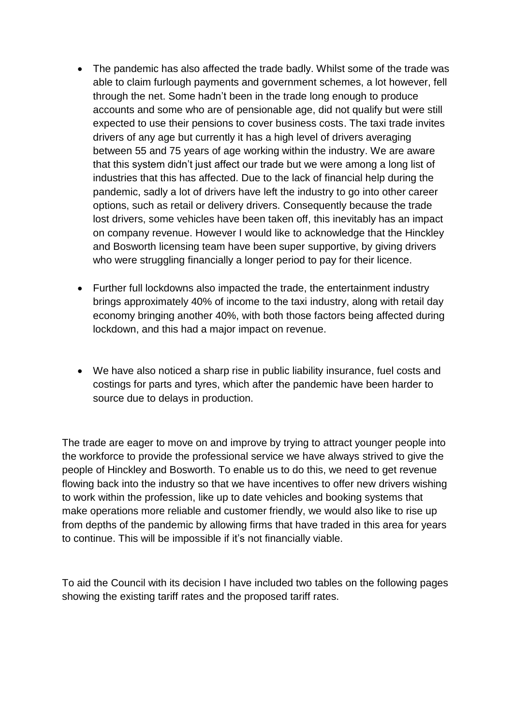- The pandemic has also affected the trade badly. Whilst some of the trade was able to claim furlough payments and government schemes, a lot however, fell through the net. Some hadn't been in the trade long enough to produce accounts and some who are of pensionable age, did not qualify but were still expected to use their pensions to cover business costs. The taxi trade invites drivers of any age but currently it has a high level of drivers averaging between 55 and 75 years of age working within the industry. We are aware that this system didn't just affect our trade but we were among a long list of industries that this has affected. Due to the lack of financial help during the pandemic, sadly a lot of drivers have left the industry to go into other career options, such as retail or delivery drivers. Consequently because the trade lost drivers, some vehicles have been taken off, this inevitably has an impact on company revenue. However I would like to acknowledge that the Hinckley and Bosworth licensing team have been super supportive, by giving drivers who were struggling financially a longer period to pay for their licence.
- Further full lockdowns also impacted the trade, the entertainment industry brings approximately 40% of income to the taxi industry, along with retail day economy bringing another 40%, with both those factors being affected during lockdown, and this had a major impact on revenue.
- We have also noticed a sharp rise in public liability insurance, fuel costs and costings for parts and tyres, which after the pandemic have been harder to source due to delays in production.

The trade are eager to move on and improve by trying to attract younger people into the workforce to provide the professional service we have always strived to give the people of Hinckley and Bosworth. To enable us to do this, we need to get revenue flowing back into the industry so that we have incentives to offer new drivers wishing to work within the profession, like up to date vehicles and booking systems that make operations more reliable and customer friendly, we would also like to rise up from depths of the pandemic by allowing firms that have traded in this area for years to continue. This will be impossible if it's not financially viable.

To aid the Council with its decision I have included two tables on the following pages showing the existing tariff rates and the proposed tariff rates.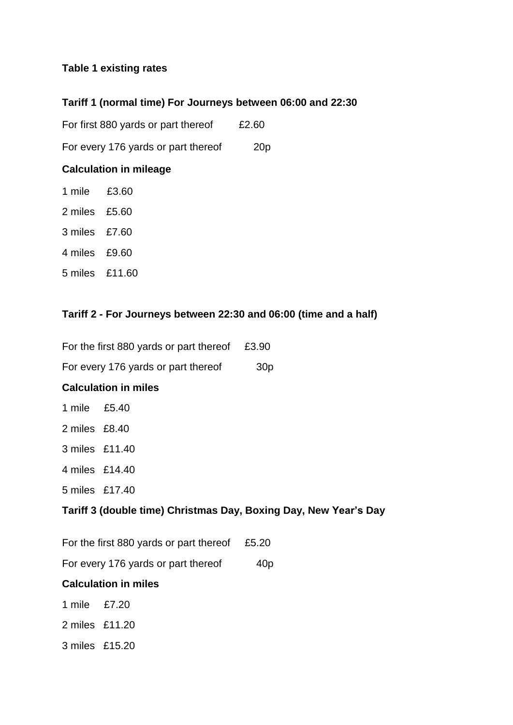## **Table 1 existing rates**

### **Tariff 1 (normal time) For Journeys between 06:00 and 22:30**

For first 880 yards or part thereof £2.60

For every 176 yards or part thereof 20p

### **Calculation in mileage**

- 1 mile £3.60
- 2 miles £5.60
- 3 miles £7.60
- 4 miles £9.60
- 5 miles £11.60

### **Tariff 2 - For Journeys between 22:30 and 06:00 (time and a half)**

For the first 880 yards or part thereof £3.90

For every 176 yards or part thereof 30p

### **Calculation in miles**

- 1 mile £5.40
- 2 miles £8.40
- 3 miles £11.40
- 4 miles £14.40
- 5 miles £17.40

### **Tariff 3 (double time) Christmas Day, Boxing Day, New Year's Day**

For the first 880 yards or part thereof £5.20

For every 176 yards or part thereof 40p

### **Calculation in miles**

- 1 mile £7.20
- 2 miles £11.20
- 3 miles £15.20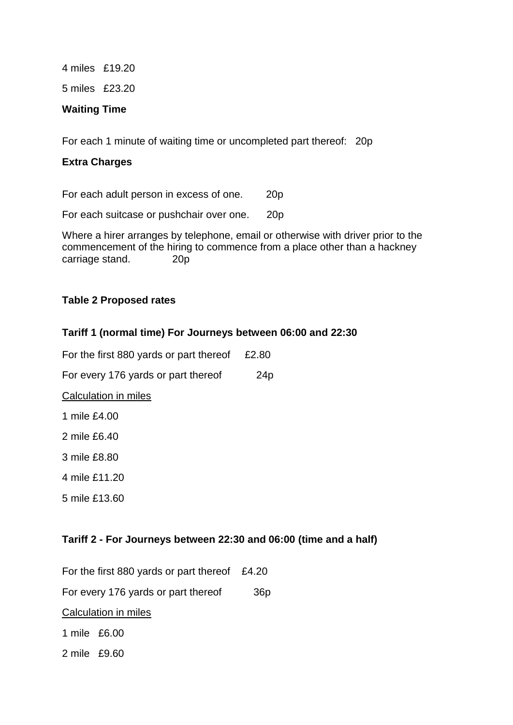4 miles £19.20 5 miles £23.20

#### **Waiting Time**

For each 1 minute of waiting time or uncompleted part thereof: 20p

### **Extra Charges**

For each adult person in excess of one. 20p

For each suitcase or pushchair over one. 20p

Where a hirer arranges by telephone, email or otherwise with driver prior to the commencement of the hiring to commence from a place other than a hackney carriage stand. 20p

### **Table 2 Proposed rates**

### **Tariff 1 (normal time) For Journeys between 06:00 and 22:30**

For the first 880 yards or part thereof £2.80 For every 176 yards or part thereof 24p Calculation in miles 1 mile £4.00 2 mile £6.40 3 mile £8.80 4 mile £11.20 5 mile £13.60

### **Tariff 2 - For Journeys between 22:30 and 06:00 (time and a half)**

For the first 880 yards or part thereof £4.20 For every 176 yards or part thereof 36p Calculation in miles 1 mile £6.00 2 mile £9.60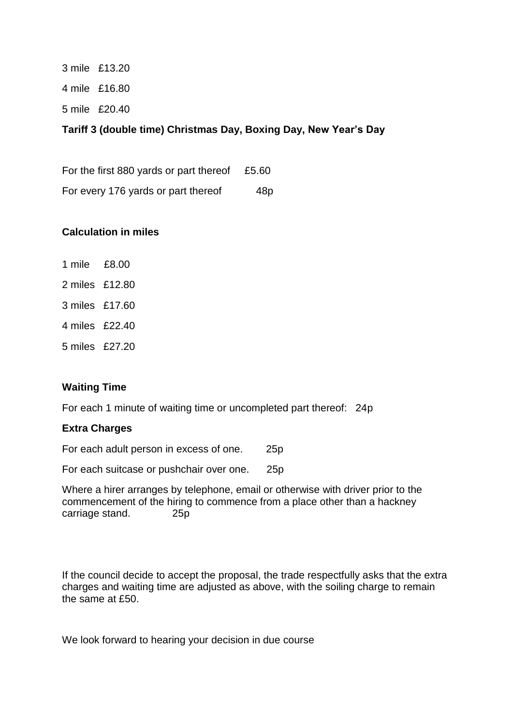3 mile £13.20 4 mile £16.80 5 mile £20.40

### **Tariff 3 (double time) Christmas Day, Boxing Day, New Year's Day**

For the first 880 yards or part thereof £5.60 For every 176 yards or part thereof 48p

### **Calculation in miles**

- 1 mile £8.00
- 2 miles £12.80
- 3 miles £17.60
- 4 miles £22.40
- 5 miles £27.20

### **Waiting Time**

For each 1 minute of waiting time or uncompleted part thereof: 24p

#### **Extra Charges**

For each adult person in excess of one. 25p

For each suitcase or pushchair over one. 25p

Where a hirer arranges by telephone, email or otherwise with driver prior to the commencement of the hiring to commence from a place other than a hackney carriage stand. 25p

If the council decide to accept the proposal, the trade respectfully asks that the extra charges and waiting time are adjusted as above, with the soiling charge to remain the same at £50.

We look forward to hearing your decision in due course